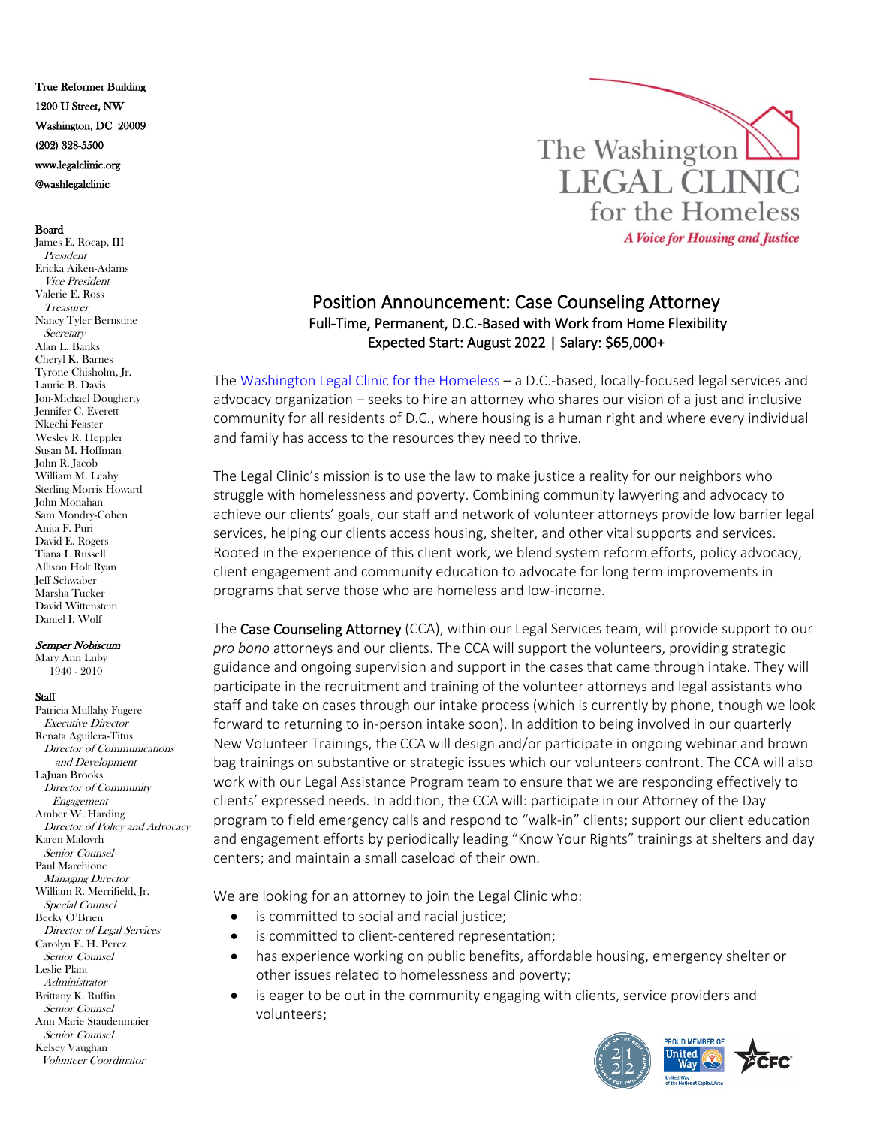True Reformer Building 1200 U Street, NW Washington, DC 20009 (202) 328-5500 www.legalclinic.org @washlegalclinic

## Board

James E. Rocap, III President Ericka Aiken-Adams Vice President Valerie E. Ross Treasurer Nancy Tyler Bernstine **Secretary** Alan L. Banks Cheryl K. Barnes Tyrone Chisholm, Jr. Laurie B. Davis Jon-Michael Dougherty Jennifer C. Everett Nkechi Feaster Wesley R. Heppler Susan M. Hoffman John R. Jacob William M. Leahy Sterling Morris Howard John Monahan Sam Mondry-Cohen Anita F. Puri David E. Rogers Tiana L Russell Allison Holt Ryan Jeff Schwaber Marsha Tucker David Wittenstein Daniel I. Wolf

## Semper Nobiscum

Mary Ann Luby 1940 - 2010

## **Staff**

Patricia Mullahy Fugere Executive Director Renata Aguilera-Titus Director of Communications and Development LaJuan Brooks Director of Community Engagement Amber W. Harding Director of Policy and Advocacy Karen Malovrh Senior Counsel Paul Marchione Managing Director William R. Merrifield, Jr. Special Counsel Becky O'Brien Director of Legal Services Carolyn E. H. Perez Senior Counsel Leslie Plant **Administrator** Brittany K. Ruffin Senior Counsel Ann Marie Staudenmaier Senior Counsel Kelsey Vaughan Volunteer Coordinator



## Position Announcement: Case Counseling Attorney Full-Time, Permanent, D.C.-Based with Work from Home Flexibility Expected Start: August 2022 | Salary: \$65,000+

The [Washington Legal Clinic for the Homeless](http://www.legalclinic.org/) – a D.C.-based, locally-focused legal services and advocacy organization – seeks to hire an attorney who shares our vision of a just and inclusive community for all residents of D.C., where housing is a human right and where every individual and family has access to the resources they need to thrive.

The Legal Clinic's mission is to use the law to make justice a reality for our neighbors who struggle with homelessness and poverty. Combining community lawyering and advocacy to achieve our clients' goals, our staff and network of volunteer attorneys provide low barrier legal services, helping our clients access housing, shelter, and other vital supports and services. Rooted in the experience of this client work, we blend system reform efforts, policy advocacy, client engagement and community education to advocate for long term improvements in programs that serve those who are homeless and low-income.

The Case Counseling Attorney (CCA), within our Legal Services team, will provide support to our *pro bono* attorneys and our clients. The CCA will support the volunteers, providing strategic guidance and ongoing supervision and support in the cases that came through intake. They will participate in the recruitment and training of the volunteer attorneys and legal assistants who staff and take on cases through our intake process (which is currently by phone, though we look forward to returning to in-person intake soon). In addition to being involved in our quarterly New Volunteer Trainings, the CCA will design and/or participate in ongoing webinar and brown bag trainings on substantive or strategic issues which our volunteers confront. The CCA will also work with our Legal Assistance Program team to ensure that we are responding effectively to clients' expressed needs. In addition, the CCA will: participate in our Attorney of the Day program to field emergency calls and respond to "walk-in" clients; support our client education and engagement efforts by periodically leading "Know Your Rights" trainings at shelters and day centers; and maintain a small caseload of their own.

We are looking for an attorney to join the Legal Clinic who:

- is committed to social and racial justice;
- is committed to client-centered representation;
- has experience working on public benefits, affordable housing, emergency shelter or other issues related to homelessness and poverty;
- is eager to be out in the community engaging with clients, service providers and volunteers;